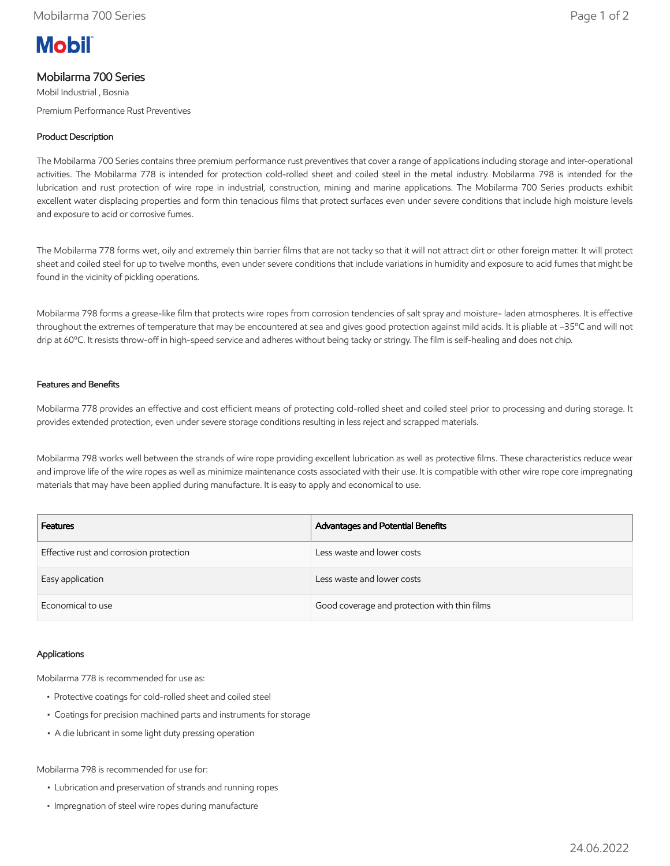# **Mobil**

## Mobilarma 700 Series

Mobil Industrial , Bosnia Premium Performance Rust Preventives

### Product Description

The Mobilarma 700 Series contains three premium performance rust preventives that cover a range of applications including storage and inter-operational activities. The Mobilarma 778 is intended for protection cold-rolled sheet and coiled steel in the metal industry. Mobilarma 798 is intended for the lubrication and rust protection of wire rope in industrial, construction, mining and marine applications. The Mobilarma 700 Series products exhibit excellent water displacing properties and form thin tenacious films that protect surfaces even under severe conditions that include high moisture levels and exposure to acid or corrosive fumes.

The Mobilarma 778 forms wet, oily and extremely thin barrier films that are not tacky so that it will not attract dirt or other foreign matter. It will protect sheet and coiled steel for up to twelve months, even under severe conditions that include variations in humidity and exposure to acid fumes that might be found in the vicinity of pickling operations.

Mobilarma 798 forms a grease-like film that protects wire ropes from corrosion tendencies of salt spray and moisture- laden atmospheres. It is effective throughout the extremes of temperature that may be encountered at sea and gives good protection against mild acids. It is pliable at –35ºC and will not drip at 60ºC. It resists throw-off in high-speed service and adheres without being tacky or stringy. The film is self-healing and does not chip.

#### Features and Benefits

Mobilarma 778 provides an effective and cost efficient means of protecting cold-rolled sheet and coiled steel prior to processing and during storage. It provides extended protection, even under severe storage conditions resulting in less reject and scrapped materials.

Mobilarma 798 works well between the strands of wire rope providing excellent lubrication as well as protective films. These characteristics reduce wear and improve life of the wire ropes as well as minimize maintenance costs associated with their use. It is compatible with other wire rope core impregnating materials that may have been applied during manufacture. It is easy to apply and economical to use.

| <b>Features</b>                         | Advantages and Potential Benefits            |
|-----------------------------------------|----------------------------------------------|
| Effective rust and corrosion protection | Less waste and lower costs                   |
| Easy application                        | Less waste and lower costs                   |
| Economical to use                       | Good coverage and protection with thin films |

#### Applications

Mobilarma 778 is recommended for use as:

- Protective coatings for cold-rolled sheet and coiled steel
- Coatings for precision machined parts and instruments for storage
- A die lubricant in some light duty pressing operation

Mobilarma 798 is recommended for use for:

- Lubrication and preservation of strands and running ropes
- Impregnation of steel wire ropes during manufacture